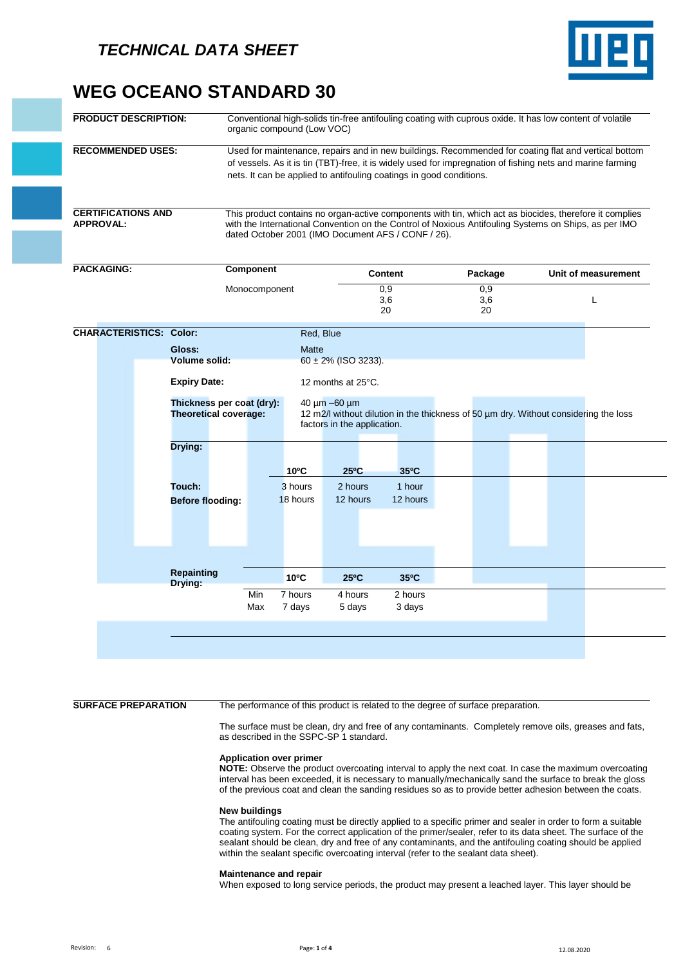

# **WEG OCEANO STANDARD 30**

| <b>PRODUCT DESCRIPTION:</b>                   | Conventional high-solids tin-free antifouling coating with cuprous oxide. It has low content of volatile<br>organic compound (Low VOC)                                                                                                                                                    |
|-----------------------------------------------|-------------------------------------------------------------------------------------------------------------------------------------------------------------------------------------------------------------------------------------------------------------------------------------------|
| <b>RECOMMENDED USES:</b>                      | Used for maintenance, repairs and in new buildings. Recommended for coating flat and vertical bottom<br>of vessels. As it is tin (TBT)-free, it is widely used for impregnation of fishing nets and marine farming<br>nets. It can be applied to antifouling coatings in good conditions. |
| <b>CERTIFICATIONS AND</b><br><b>APPROVAL:</b> | This product contains no organ-active components with tin, which act as biocides, therefore it complies<br>with the International Convention on the Control of Noxious Antifouling Systems on Ships, as per IMO<br>dated October 2001 (IMO Document AFS / CONF / 26).                     |

| <b>PACKAGING:</b>              | <b>Component</b>             |                                                           |                | Content                                                                                                                                      |                  | Package |                  | Unit of measurement |   |
|--------------------------------|------------------------------|-----------------------------------------------------------|----------------|----------------------------------------------------------------------------------------------------------------------------------------------|------------------|---------|------------------|---------------------|---|
|                                |                              | Monocomponent                                             |                |                                                                                                                                              | 0,9<br>3,6<br>20 |         | 0,9<br>3,6<br>20 |                     | L |
| <b>CHARACTERISTICS: Color:</b> |                              |                                                           |                | Red, Blue                                                                                                                                    |                  |         |                  |                     |   |
|                                | Gloss:                       |                                                           | <b>Matte</b>   |                                                                                                                                              |                  |         |                  |                     |   |
|                                | <b>Volume solid:</b>         |                                                           |                | $60 \pm 2\%$ (ISO 3233).                                                                                                                     |                  |         |                  |                     |   |
|                                | <b>Expiry Date:</b>          |                                                           |                | 12 months at 25°C.                                                                                                                           |                  |         |                  |                     |   |
|                                |                              | Thickness per coat (dry):<br><b>Theoretical coverage:</b> |                | $40 \mu m - 60 \mu m$<br>12 m2/l without dilution in the thickness of 50 um dry. Without considering the loss<br>factors in the application. |                  |         |                  |                     |   |
|                                | Drying:                      |                                                           |                |                                                                                                                                              |                  |         |                  |                     |   |
|                                |                              |                                                           | $10^{\circ}$ C | $25^{\circ}$ C                                                                                                                               | 35°C             |         |                  |                     |   |
|                                | Touch:                       |                                                           | 3 hours        | 2 hours                                                                                                                                      | 1 hour           |         |                  |                     |   |
|                                | <b>Before flooding:</b>      |                                                           | 18 hours       | 12 hours                                                                                                                                     | 12 hours         |         |                  |                     |   |
|                                |                              |                                                           |                |                                                                                                                                              |                  |         |                  |                     |   |
|                                |                              |                                                           |                |                                                                                                                                              |                  |         |                  |                     |   |
|                                |                              |                                                           |                |                                                                                                                                              |                  |         |                  |                     |   |
|                                |                              |                                                           |                |                                                                                                                                              |                  |         |                  |                     |   |
|                                | <b>Repainting</b><br>Drying: |                                                           | 10°C           | $25^{\circ}$ C                                                                                                                               | 35°C             |         |                  |                     |   |
|                                |                              | Min                                                       | 7 hours        | 4 hours                                                                                                                                      | 2 hours          |         |                  |                     |   |
|                                |                              | Max                                                       | 7 days         | 5 days                                                                                                                                       | 3 days           |         |                  |                     |   |
|                                |                              |                                                           |                |                                                                                                                                              |                  |         |                  |                     |   |
|                                |                              |                                                           |                |                                                                                                                                              |                  |         |                  |                     |   |
|                                |                              |                                                           |                |                                                                                                                                              |                  |         |                  |                     |   |

**SURFACE PREPARATION** The performance of this product is related to the degree of surface preparation.

The surface must be clean, dry and free of any contaminants. Completely remove oils, greases and fats, as described in the SSPC-SP 1 standard.

### **Application over primer**

**NOTE:** Observe the product overcoating interval to apply the next coat. In case the maximum overcoating interval has been exceeded, it is necessary to manually/mechanically sand the surface to break the gloss of the previous coat and clean the sanding residues so as to provide better adhesion between the coats.

### **New buildings**

The antifouling coating must be directly applied to a specific primer and sealer in order to form a suitable coating system. For the correct application of the primer/sealer, refer to its data sheet. The surface of the sealant should be clean, dry and free of any contaminants, and the antifouling coating should be applied within the sealant specific overcoating interval (refer to the sealant data sheet).

### **Maintenance and repair**

When exposed to long service periods, the product may present a leached layer. This layer should be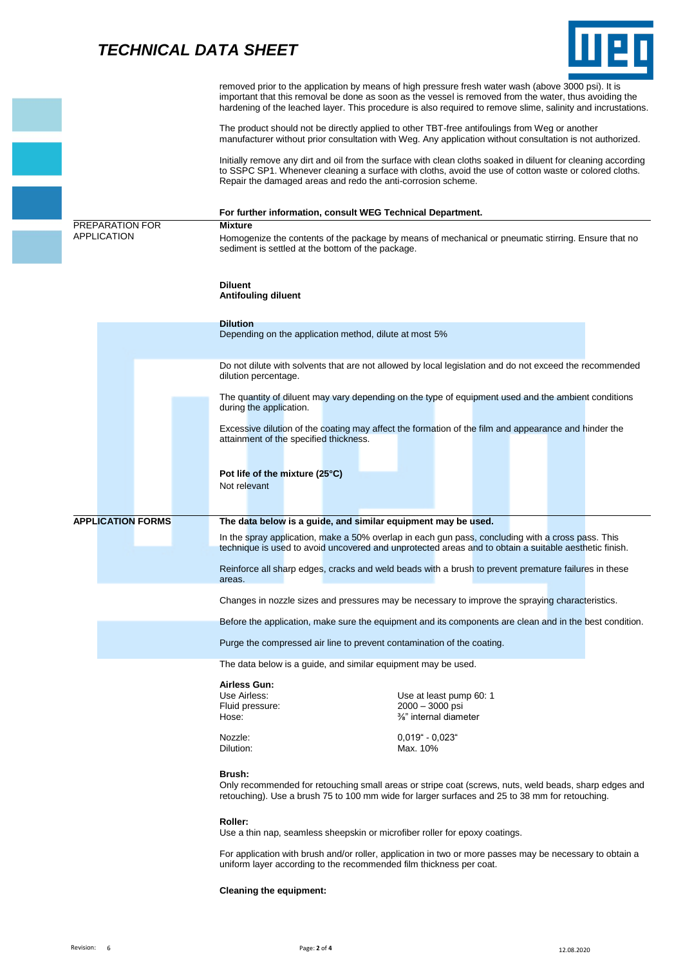# *TECHNICAL DATA SHEET*



|                          | removed prior to the application by means of high pressure fresh water wash (above 3000 psi). It is<br>important that this removal be done as soon as the vessel is removed from the water, thus avoiding the<br>hardening of the leached layer. This procedure is also required to remove slime, salinity and incrustations. |
|--------------------------|-------------------------------------------------------------------------------------------------------------------------------------------------------------------------------------------------------------------------------------------------------------------------------------------------------------------------------|
|                          | The product should not be directly applied to other TBT-free antifoulings from Weg or another<br>manufacturer without prior consultation with Weg. Any application without consultation is not authorized.                                                                                                                    |
|                          | Initially remove any dirt and oil from the surface with clean cloths soaked in diluent for cleaning according<br>to SSPC SP1. Whenever cleaning a surface with cloths, avoid the use of cotton waste or colored cloths.<br>Repair the damaged areas and redo the anti-corrosion scheme.                                       |
|                          | For further information, consult WEG Technical Department.                                                                                                                                                                                                                                                                    |
| PREPARATION FOR          | <b>Mixture</b>                                                                                                                                                                                                                                                                                                                |
| APPLICATION              | Homogenize the contents of the package by means of mechanical or pneumatic stirring. Ensure that no<br>sediment is settled at the bottom of the package.                                                                                                                                                                      |
|                          | <b>Diluent</b><br><b>Antifouling diluent</b>                                                                                                                                                                                                                                                                                  |
|                          | <b>Dilution</b><br>Depending on the application method, dilute at most 5%                                                                                                                                                                                                                                                     |
|                          |                                                                                                                                                                                                                                                                                                                               |
|                          | Do not dilute with solvents that are not allowed by local legislation and do not exceed the recommended<br>dilution percentage.                                                                                                                                                                                               |
|                          | The quantity of diluent may vary depending on the type of equipment used and the ambient conditions<br>during the application.                                                                                                                                                                                                |
|                          | Excessive dilution of the coating may affect the formation of the film and appearance and hinder the<br>attainment of the specified thickness.                                                                                                                                                                                |
|                          | Pot life of the mixture (25°C)<br>Not relevant                                                                                                                                                                                                                                                                                |
|                          |                                                                                                                                                                                                                                                                                                                               |
| <b>APPLICATION FORMS</b> | The data below is a guide, and similar equipment may be used.                                                                                                                                                                                                                                                                 |
|                          | In the spray application, make a 50% overlap in each gun pass, concluding with a cross pass. This<br>technique is used to avoid uncovered and unprotected areas and to obtain a suitable aesthetic finish.                                                                                                                    |
|                          | Reinforce all sharp edges, cracks and weld beads with a brush to prevent premature failures in these<br>areas.                                                                                                                                                                                                                |
|                          | Changes in nozzle sizes and pressures may be necessary to improve the spraying characteristics.                                                                                                                                                                                                                               |
|                          | Before the application, make sure the equipment and its components are clean and in the best condition.                                                                                                                                                                                                                       |
|                          | Purge the compressed air line to prevent contamination of the coating.                                                                                                                                                                                                                                                        |
|                          | The data below is a guide, and similar equipment may be used.                                                                                                                                                                                                                                                                 |
|                          | Airless Gun:                                                                                                                                                                                                                                                                                                                  |
|                          | Use Airless:<br>Use at least pump 60: 1                                                                                                                                                                                                                                                                                       |
|                          | 2000 - 3000 psi<br>Fluid pressure:<br>%" internal diameter<br>Hose:                                                                                                                                                                                                                                                           |
|                          |                                                                                                                                                                                                                                                                                                                               |
|                          | $0.019" - 0.023"$<br>Nozzle:<br>Dilution:<br>Max. 10%                                                                                                                                                                                                                                                                         |
|                          | Brush:<br>Only recommended for retouching small areas or stripe coat (screws, nuts, weld beads, sharp edges and<br>retouching). Use a brush 75 to 100 mm wide for larger surfaces and 25 to 38 mm for retouching.                                                                                                             |
|                          | Roller:<br>Use a thin nap, seamless sheepskin or microfiber roller for epoxy coatings.                                                                                                                                                                                                                                        |
|                          | For application with brush and/or roller, application in two or more passes may be necessary to obtain a<br>uniform layer according to the recommended film thickness per coat.                                                                                                                                               |

**Cleaning the equipment:**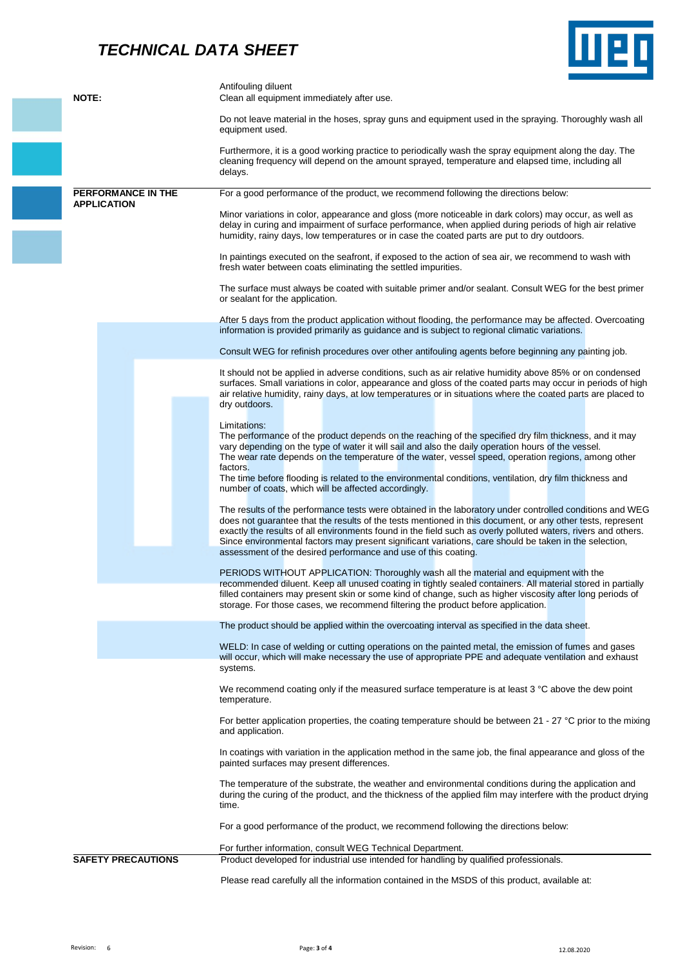### *TECHNICAL DATA SHEET*



|                           | Antifouling diluent                                                                                                                                                                                                                                                                                                                                                                                                                                                                                                 |
|---------------------------|---------------------------------------------------------------------------------------------------------------------------------------------------------------------------------------------------------------------------------------------------------------------------------------------------------------------------------------------------------------------------------------------------------------------------------------------------------------------------------------------------------------------|
| <b>NOTE:</b>              | Clean all equipment immediately after use.                                                                                                                                                                                                                                                                                                                                                                                                                                                                          |
|                           | Do not leave material in the hoses, spray guns and equipment used in the spraying. Thoroughly wash all<br>equipment used.                                                                                                                                                                                                                                                                                                                                                                                           |
|                           | Furthermore, it is a good working practice to periodically wash the spray equipment along the day. The<br>cleaning frequency will depend on the amount sprayed, temperature and elapsed time, including all<br>delays.                                                                                                                                                                                                                                                                                              |
| PERFORMANCE IN THE        | For a good performance of the product, we recommend following the directions below:                                                                                                                                                                                                                                                                                                                                                                                                                                 |
| <b>APPLICATION</b>        | Minor variations in color, appearance and gloss (more noticeable in dark colors) may occur, as well as<br>delay in curing and impairment of surface performance, when applied during periods of high air relative<br>humidity, rainy days, low temperatures or in case the coated parts are put to dry outdoors.                                                                                                                                                                                                    |
|                           | In paintings executed on the seafront, if exposed to the action of sea air, we recommend to wash with<br>fresh water between coats eliminating the settled impurities.                                                                                                                                                                                                                                                                                                                                              |
|                           | The surface must always be coated with suitable primer and/or sealant. Consult WEG for the best primer<br>or sealant for the application.                                                                                                                                                                                                                                                                                                                                                                           |
|                           | After 5 days from the product application without flooding, the performance may be affected. Overcoating<br>information is provided primarily as guidance and is subject to regional climatic variations.                                                                                                                                                                                                                                                                                                           |
|                           | Consult WEG for refinish procedures over other antifouling agents before beginning any painting job.                                                                                                                                                                                                                                                                                                                                                                                                                |
|                           | It should not be applied in adverse conditions, such as air relative humidity above 85% or on condensed<br>surfaces. Small variations in color, appearance and gloss of the coated parts may occur in periods of high<br>air relative humidity, rainy days, at low temperatures or in situations where the coated parts are placed to<br>dry outdoors.                                                                                                                                                              |
|                           | Limitations:<br>The performance of the product depends on the reaching of the specified dry film thickness, and it may<br>vary depending on the type of water it will sail and also the daily operation hours of the vessel.<br>The wear rate depends on the temperature of the water, vessel speed, operation regions, among other<br>factors.<br>The time before flooding is related to the environmental conditions, ventilation, dry film thickness and<br>number of coats, which will be affected accordingly. |
|                           | The results of the performance tests were obtained in the laboratory under controlled conditions and WEG<br>does not guarantee that the results of the tests mentioned in this document, or any other tests, represent<br>exactly the results of all environments found in the field such as overly polluted waters, rivers and others.<br>Since environmental factors may present significant variations, care should be taken in the selection,<br>assessment of the desired performance and use of this coating. |
|                           | PERIODS WITHOUT APPLICATION: Thoroughly wash all the material and equipment with the<br>recommended diluent. Keep all unused coating in tightly sealed containers. All material stored in partially<br>filled containers may present skin or some kind of change, such as higher viscosity after long periods of<br>storage. For those cases, we recommend filtering the product before application.                                                                                                                |
|                           | The product should be applied within the overcoating interval as specified in the data sheet.                                                                                                                                                                                                                                                                                                                                                                                                                       |
|                           |                                                                                                                                                                                                                                                                                                                                                                                                                                                                                                                     |
|                           | WELD: In case of welding or cutting operations on the painted metal, the emission of fumes and gases<br>will occur, which will make necessary the use of appropriate PPE and adequate ventilation and exhaust<br>systems.                                                                                                                                                                                                                                                                                           |
|                           | We recommend coating only if the measured surface temperature is at least 3 °C above the dew point<br>temperature.                                                                                                                                                                                                                                                                                                                                                                                                  |
|                           | For better application properties, the coating temperature should be between $21 - 27$ °C prior to the mixing<br>and application.                                                                                                                                                                                                                                                                                                                                                                                   |
|                           | In coatings with variation in the application method in the same job, the final appearance and gloss of the<br>painted surfaces may present differences.                                                                                                                                                                                                                                                                                                                                                            |
|                           | The temperature of the substrate, the weather and environmental conditions during the application and<br>during the curing of the product, and the thickness of the applied film may interfere with the product drying<br>time.                                                                                                                                                                                                                                                                                     |
|                           | For a good performance of the product, we recommend following the directions below:                                                                                                                                                                                                                                                                                                                                                                                                                                 |
|                           | For further information, consult WEG Technical Department.                                                                                                                                                                                                                                                                                                                                                                                                                                                          |
| <b>SAFETY PRECAUTIONS</b> | Product developed for industrial use intended for handling by qualified professionals.                                                                                                                                                                                                                                                                                                                                                                                                                              |
|                           | Please read carefully all the information contained in the MSDS of this product, available at:                                                                                                                                                                                                                                                                                                                                                                                                                      |